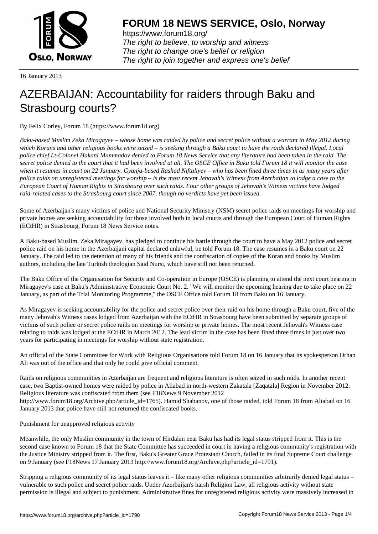

https://www.forum18.org/ The right to believe, to worship and witness The right to change one's belief or religion [The right to join together a](https://www.forum18.org/)nd express one's belief

16 January 2013

## [AZERBAIJAN: A](https://www.forum18.org)ccountability for raiders through Baku and Strasbourg courts?

By Felix Corley, Forum 18 (https://www.forum18.org)

*Baku-based Muslim Zeka Miragayev – whose home was raided by police and secret police without a warrant in May 2012 during which Korans and other religious books were seized – is seeking through a Baku court to have the raids declared illegal. Local police chief Lt-Colonel Hakani Mammadov denied to Forum 18 News Service that any literature had been taken in the raid. The secret police denied to the court that it had been involved at all. The OSCE Office in Baku told Forum 18 it will monitor the case when it resumes in court on 22 January. Gyanja-based Rashad Niftaliyev – who has been fined three times in as many years after police raids on unregistered meetings for worship – is the most recent Jehovah's Witness from Azerbaijan to lodge a case to the European Court of Human Rights in Strasbourg over such raids. Four other groups of Jehovah's Witness victims have lodged raid-related cases to the Strasbourg court since 2007, though no verdicts have yet been issued.*

Some of Azerbaijan's many victims of police and National Security Ministry (NSM) secret police raids on meetings for worship and private homes are seeking accountability for those involved both in local courts and through the European Court of Human Rights (ECtHR) in Strasbourg, Forum 18 News Service notes.

A Baku-based Muslim, Zeka Miragayev, has pledged to continue his battle through the court to have a May 2012 police and secret police raid on his home in the Azerbaijani capital declared unlawful, he told Forum 18. The case resumes in a Baku court on 22 January. The raid led to the detention of many of his friends and the confiscation of copies of the Koran and books by Muslim authors, including the late Turkish theologian Said Nursi, which have still not been returned.

The Baku Office of the Organisation for Security and Co-operation in Europe (OSCE) is planning to attend the next court hearing in Miragayev's case at Baku's Administrative Economic Court No. 2. "We will monitor the upcoming hearing due to take place on 22 January, as part of the Trial Monitoring Programme," the OSCE Office told Forum 18 from Baku on 16 January.

As Miragayev is seeking accountability for the police and secret police over their raid on his home through a Baku court, five of the many Jehovah's Witness cases lodged from Azerbaijan with the ECtHR in Strasbourg have been submitted by separate groups of victims of such police or secret police raids on meetings for worship or private homes. The most recent Jehovah's Witness case relating to raids was lodged at the ECtHR in March 2012. The lead victim in the case has been fined three times in just over two years for participating in meetings for worship without state registration.

An official of the State Committee for Work with Religious Organisations told Forum 18 on 16 January that its spokesperson Orhan Ali was out of the office and that only he could give official comment.

Raids on religious communities in Azerbaijan are frequent and religious literature is often seized in such raids. In another recent case, two Baptist-owned homes were raided by police in Aliabad in north-western Zakatala [Zaqatala] Region in November 2012. Religious literature was confiscated from them (see F18News 9 November 2012 http://www.forum18.org/Archive.php?article\_id=1765). Hamid Shabanov, one of those raided, told Forum 18 from Aliabad on 16 January 2013 that police have still not returned the confiscated books.

Punishment for unapproved religious activity

Meanwhile, the only Muslim community in the town of Hirdalan near Baku has had its legal status stripped from it. This is the second case known to Forum 18 that the State Committee has succeeded in court in having a religious community's registration with the Justice Ministry stripped from it. The first, Baku's Greater Grace Protestant Church, failed in its final Supreme Court challenge on 9 January (see F18News 17 January 2013 http://www.forum18.org/Archive.php?article\_id=1791).

Stripping a religious community of its legal status leaves it – like many other religious communities arbitrarily denied legal status – vulnerable to such police and secret police raids. Under Azerbaijan's harsh Religion Law, all religious activity without state permission is illegal and subject to punishment. Administrative fines for unregistered religious activity were massively increased in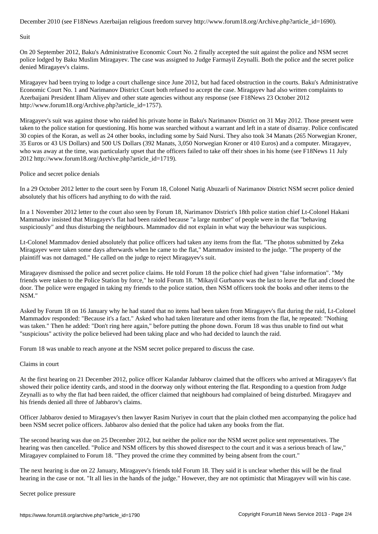Suit

On 20 September 2012, Baku's Administrative Economic Court No. 2 finally accepted the suit against the police and NSM secret police lodged by Baku Muslim Miragayev. The case was assigned to Judge Farmayil Zeynalli. Both the police and the secret police denied Miragayev's claims.

Miragayev had been trying to lodge a court challenge since June 2012, but had faced obstruction in the courts. Baku's Administrative Economic Court No. 1 and Narimanov District Court both refused to accept the case. Miragayev had also written complaints to Azerbaijani President Ilham Aliyev and other state agencies without any response (see F18News 23 October 2012 http://www.forum18.org/Archive.php?article\_id=1757).

Miragayev's suit was against those who raided his private home in Baku's Narimanov District on 31 May 2012. Those present were taken to the police station for questioning. His home was searched without a warrant and left in a state of disarray. Police confiscated 30 copies of the Koran, as well as 24 other books, including some by Said Nursi. They also took 34 Manats (265 Norwegian Kroner, 35 Euros or 43 US Dollars) and 500 US Dollars (392 Manats, 3,050 Norwegian Kroner or 410 Euros) and a computer. Miragayev, who was away at the time, was particularly upset that the officers failed to take off their shoes in his home (see F18News 11 July 2012 http://www.forum18.org/Archive.php?article\_id=1719).

Police and secret police denials

In a 29 October 2012 letter to the court seen by Forum 18, Colonel Natig Abuzarli of Narimanov District NSM secret police denied absolutely that his officers had anything to do with the raid.

In a 1 November 2012 letter to the court also seen by Forum 18, Narimanov District's 18th police station chief Lt-Colonel Hakani Mammadov insisted that Miragayev's flat had been raided because "a large number" of people were in the flat "behaving suspiciously" and thus disturbing the neighbours. Mammadov did not explain in what way the behaviour was suspicious.

Lt-Colonel Mammadov denied absolutely that police officers had taken any items from the flat. "The photos submitted by Zeka Miragayev were taken some days afterwards when he came to the flat," Mammadov insisted to the judge. "The property of the plaintiff was not damaged." He called on the judge to reject Miragayev's suit.

Miragayev dismissed the police and secret police claims. He told Forum 18 the police chief had given "false information". "My friends were taken to the Police Station by force," he told Forum 18. "Mikayil Gurbanov was the last to leave the flat and closed the door. The police were engaged in taking my friends to the police station, then NSM officers took the books and other items to the NSM."

Asked by Forum 18 on 16 January why he had stated that no items had been taken from Miragayev's flat during the raid, Lt-Colonel Mammadov responded: "Because it's a fact." Asked who had taken literature and other items from the flat, he repeated: "Nothing was taken." Then he added: "Don't ring here again," before putting the phone down. Forum 18 was thus unable to find out what "suspicious" activity the police believed had been taking place and who had decided to launch the raid.

Forum 18 was unable to reach anyone at the NSM secret police prepared to discuss the case.

Claims in court

At the first hearing on 21 December 2012, police officer Kalandar Jabbarov claimed that the officers who arrived at Miragayev's flat showed their police identity cards, and stood in the doorway only without entering the flat. Responding to a question from Judge Zeynalli as to why the flat had been raided, the officer claimed that neighbours had complained of being disturbed. Miragayev and his friends denied all three of Jabbarov's claims.

Officer Jabbarov denied to Miragayev's then lawyer Rasim Nuriyev in court that the plain clothed men accompanying the police had been NSM secret police officers. Jabbarov also denied that the police had taken any books from the flat.

The second hearing was due on 25 December 2012, but neither the police nor the NSM secret police sent representatives. The hearing was then cancelled. "Police and NSM officers by this showed disrespect to the court and it was a serious breach of law," Miragayev complained to Forum 18. "They proved the crime they committed by being absent from the court."

The next hearing is due on 22 January, Miragayev's friends told Forum 18. They said it is unclear whether this will be the final hearing in the case or not. "It all lies in the hands of the judge." However, they are not optimistic that Miragayev will win his case.

Secret police pressure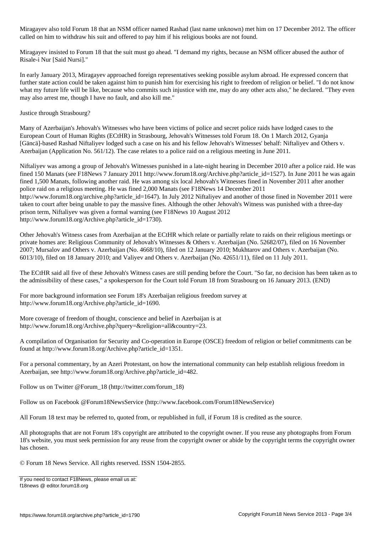$\mathcal{C}$  to told Forum 18 that an NSM of intervalst named Rashad (last name unknown) met him on 17 December 2012. The officer named Rashad (last named Rashad (last named Rashad (last named Rashad (last named Rashad (last called on him to withdraw his suit and offered to pay him if his religious books are not found.

Miragayev insisted to Forum 18 that the suit must go ahead. "I demand my rights, because an NSM officer abused the author of Risale-i Nur [Said Nursi]."

In early January 2013, Miragayev approached foreign representatives seeking possible asylum abroad. He expressed concern that further state action could be taken against him to punish him for exercising his right to freedom of religion or belief. "I do not know what my future life will be like, because who commits such injustice with me, may do any other acts also," he declared. "They even may also arrest me, though I have no fault, and also kill me."

Justice through Strasbourg?

Many of Azerbaijan's Jehovah's Witnesses who have been victims of police and secret police raids have lodged cases to the European Court of Human Rights (ECtHR) in Strasbourg, Jehovah's Witnesses told Forum 18. On 1 March 2012, Gyanja [Gäncä]-based Rashad Niftaliyev lodged such a case on his and his fellow Jehovah's Witnesses' behalf: Niftaliyev and Others v. Azerbaijan (Application No. 561/12). The case relates to a police raid on a religious meeting in June 2011.

Niftaliyev was among a group of Jehovah's Witnesses punished in a late-night hearing in December 2010 after a police raid. He was fined 150 Manats (see F18News 7 January 2011 http://www.forum18.org/Archive.php?article\_id=1527). In June 2011 he was again fined 1,500 Manats, following another raid. He was among six local Jehovah's Witnesses fined in November 2011 after another police raid on a religious meeting. He was fined 2,000 Manats (see F18News 14 December 2011 http://www.forum18.org/archive.php?article\_id=1647). In July 2012 Niftaliyev and another of those fined in November 2011 were taken to court after being unable to pay the massive fines. Although the other Jehovah's Witness was punished with a three-day prison term, Niftaliyev was given a formal warning (see F18News 10 August 2012 http://www.forum18.org/Archive.php?article\_id=1730).

Other Jehovah's Witness cases from Azerbaijan at the ECtHR which relate or partially relate to raids on their religious meetings or private homes are: Religious Community of Jehovah's Witnesses & Others v. Azerbaijan (No. 52682/07), filed on 16 November 2007; Mursalov and Others v. Azerbaijan (No. 4668/10), filed on 12 January 2010; Mukhtarov and Others v. Azerbaijan (No. 6013/10), filed on 18 January 2010; and Valiyev and Others v. Azerbaijan (No. 42651/11), filed on 11 July 2011.

The ECtHR said all five of these Jehovah's Witness cases are still pending before the Court. "So far, no decision has been taken as to the admissibility of these cases," a spokesperson for the Court told Forum 18 from Strasbourg on 16 January 2013. (END)

For more background information see Forum 18's Azerbaijan religious freedom survey at http://www.forum18.org/Archive.php?article\_id=1690.

More coverage of freedom of thought, conscience and belief in Azerbaijan is at http://www.forum18.org/Archive.php?query=&religion=all&country=23.

A compilation of Organisation for Security and Co-operation in Europe (OSCE) freedom of religion or belief commitments can be found at http://www.forum18.org/Archive.php?article\_id=1351.

For a personal commentary, by an Azeri Protestant, on how the international community can help establish religious freedom in Azerbaijan, see http://www.forum18.org/Archive.php?article\_id=482.

Follow us on Twitter @Forum\_18 (http://twitter.com/forum\_18)

Follow us on Facebook @Forum18NewsService (http://www.facebook.com/Forum18NewsService)

All Forum 18 text may be referred to, quoted from, or republished in full, if Forum 18 is credited as the source.

All photographs that are not Forum 18's copyright are attributed to the copyright owner. If you reuse any photographs from Forum 18's website, you must seek permission for any reuse from the copyright owner or abide by the copyright terms the copyright owner has chosen.

© Forum 18 News Service. All rights reserved. ISSN 1504-2855.

If you need to contact F18News, please email us at: f18news @ editor.forum18.org